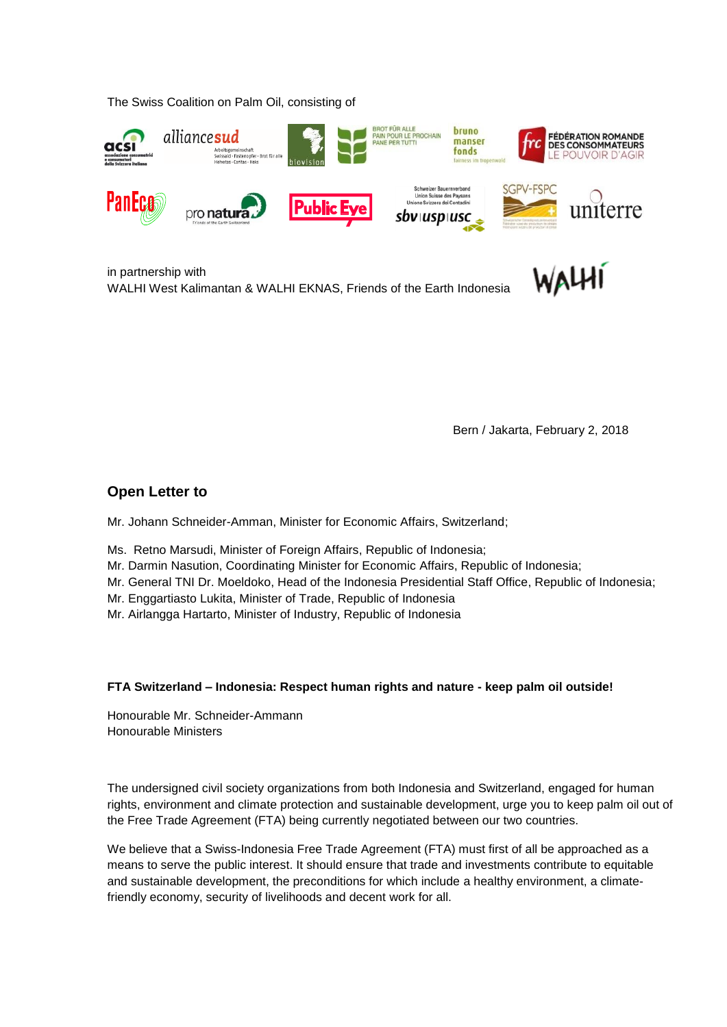The Swiss Coalition on Palm Oil, consisting of



in partnership with WALHI West Kalimantan & WALHI EKNAS, Friends of the Earth Indonesia

Bern / Jakarta, February 2, 2018

## **Open Letter to**

Mr. Johann Schneider-Amman, Minister for Economic Affairs, Switzerland;

- Ms. Retno Marsudi, Minister of Foreign Affairs, Republic of Indonesia;
- Mr. Darmin Nasution, Coordinating Minister for Economic Affairs, Republic of Indonesia;
- Mr. General TNI Dr. Moeldoko, Head of the Indonesia Presidential Staff Office, Republic of Indonesia;
- Mr. Enggartiasto Lukita, Minister of Trade, Republic of Indonesia
- Mr. Airlangga Hartarto, Minister of Industry, Republic of Indonesia

## **FTA Switzerland – Indonesia: Respect human rights and nature - keep palm oil outside!**

Honourable Mr. Schneider-Ammann Honourable Ministers

The undersigned civil society organizations from both Indonesia and Switzerland, engaged for human rights, environment and climate protection and sustainable development, urge you to keep palm oil out of the Free Trade Agreement (FTA) being currently negotiated between our two countries.

We believe that a Swiss-Indonesia Free Trade Agreement (FTA) must first of all be approached as a means to serve the public interest. It should ensure that trade and investments contribute to equitable and sustainable development, the preconditions for which include a healthy environment, a climatefriendly economy, security of livelihoods and decent work for all.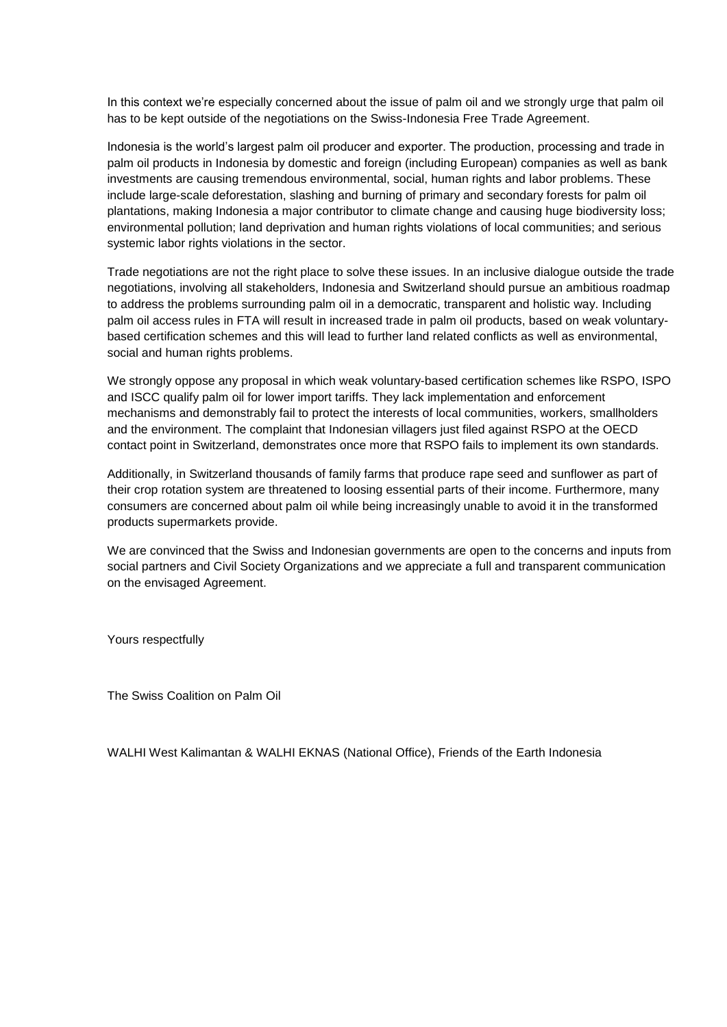In this context we're especially concerned about the issue of palm oil and we strongly urge that palm oil has to be kept outside of the negotiations on the Swiss-Indonesia Free Trade Agreement.

Indonesia is the world's largest palm oil producer and exporter. The production, processing and trade in palm oil products in Indonesia by domestic and foreign (including European) companies as well as bank investments are causing tremendous environmental, social, human rights and labor problems. These include large-scale deforestation, slashing and burning of primary and secondary forests for palm oil plantations, making Indonesia a major contributor to climate change and causing huge biodiversity loss; environmental pollution; land deprivation and human rights violations of local communities; and serious systemic labor rights violations in the sector.

Trade negotiations are not the right place to solve these issues. In an inclusive dialogue outside the trade negotiations, involving all stakeholders, Indonesia and Switzerland should pursue an ambitious roadmap to address the problems surrounding palm oil in a democratic, transparent and holistic way. Including palm oil access rules in FTA will result in increased trade in palm oil products, based on weak voluntarybased certification schemes and this will lead to further land related conflicts as well as environmental, social and human rights problems.

We strongly oppose any proposal in which weak voluntary-based certification schemes like RSPO, ISPO and ISCC qualify palm oil for lower import tariffs. They lack implementation and enforcement mechanisms and demonstrably fail to protect the interests of local communities, workers, smallholders and the environment. The complaint that Indonesian villagers just filed against RSPO at the OECD contact point in Switzerland, demonstrates once more that RSPO fails to implement its own standards.

Additionally, in Switzerland thousands of family farms that produce rape seed and sunflower as part of their crop rotation system are threatened to loosing essential parts of their income. Furthermore, many consumers are concerned about palm oil while being increasingly unable to avoid it in the transformed products supermarkets provide.

We are convinced that the Swiss and Indonesian governments are open to the concerns and inputs from social partners and Civil Society Organizations and we appreciate a full and transparent communication on the envisaged Agreement.

Yours respectfully

The Swiss Coalition on Palm Oil

WALHI West Kalimantan & WALHI EKNAS (National Office), Friends of the Earth Indonesia